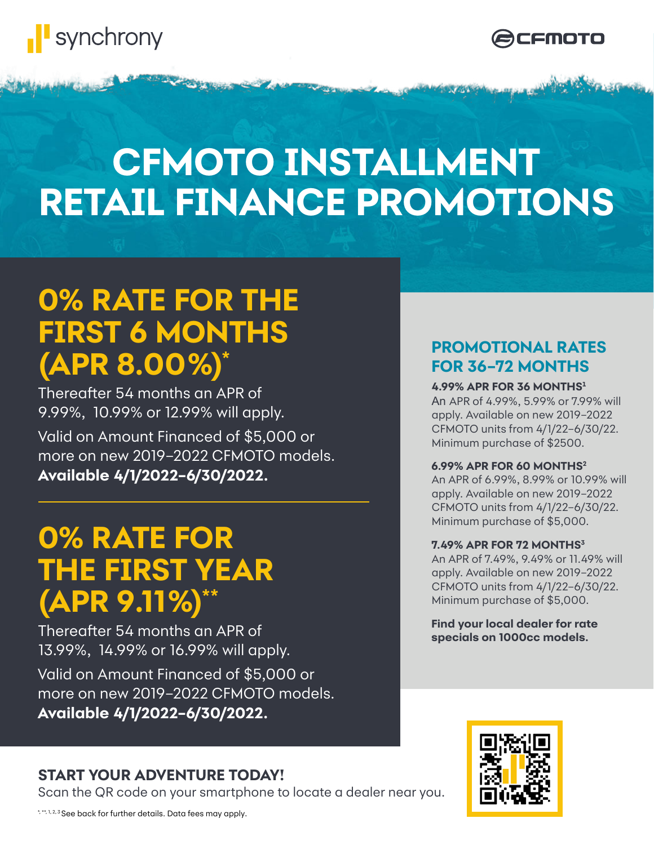



# **CFMOTO INSTALLMENT RETAIL FINANCE PROMOTIONS**

## **0% RATE FOR THE FIRST 6 MONTHS (APR 8.00%) \***

Valid on Amount Financed of \$5,000 or more on new 2019–2022 CFMOTO models. **Available 4/1/2022–6/30/2022.** Thereafter 54 months an APR of 9.99%, 10.99% or 12.99% will apply.

## **0% RATE FOR THE FIRST YEAR (APR 9.11%) \*\***

Thereafter 54 months an APR of 13.99%, 14.99% or 16.99% will apply.

Valid on Amount Financed of \$5,000 or more on new 2019–2022 CFMOTO models. **Available 4/1/2022–6/30/2022.**

## **START YOUR ADVENTURE TODAY!**

Scan the QR code on your smartphone to locate a dealer near you.

### **PROMOTIONAL RATES FOR 36–72 MONTHS**

### **4.99% APR FOR 36 MONTHS<sup>1</sup>**

An APR of 4.99%, 5.99% or 7.99% will apply. Available on new 2019–2022 CFMOTO units from 4/1/22–6/30/22. Minimum purchase of \$2500.

### **6.99% APR FOR 60 MONTHS2**

An APR of 6.99%, 8.99% or 10.99% will apply. Available on new 2019–2022 CFMOTO units from 4/1/22–6/30/22. Minimum purchase of \$5,000.

### **7.49% APR FOR 72 MONTHS3**

An APR of 7.49%, 9.49% or 11.49% will apply. Available on new 2019–2022 CFMOTO units from 4/1/22–6/30/22. Minimum purchase of \$5,000.

**Find your local dealer for rate specials on 1000cc models.**